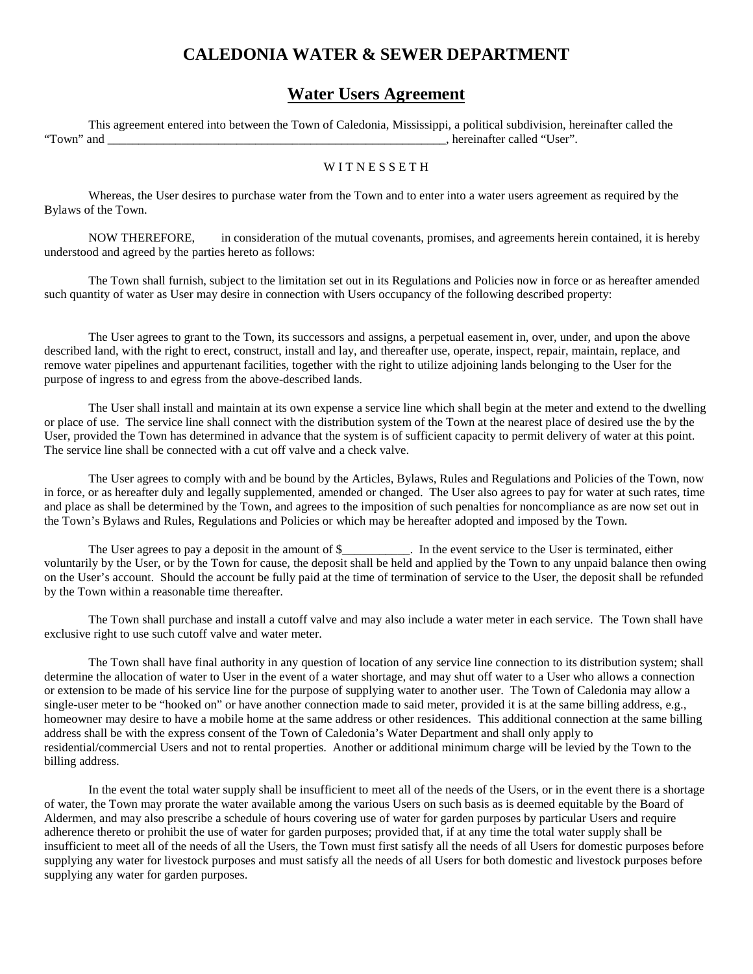## **CALEDONIA WATER & SEWER DEPARTMENT**

## **Water Users Agreement**

This agreement entered into between the Town of Caledonia, Mississippi, a political subdivision, hereinafter called the "Town" and \_\_\_\_\_\_\_\_\_\_\_\_\_\_\_\_\_\_\_\_\_\_\_\_\_\_\_\_\_\_\_\_\_\_\_\_\_\_\_\_\_\_\_\_\_\_\_\_\_\_\_\_\_\_\_, hereinafter called "User".

## WITNESSETH

Whereas, the User desires to purchase water from the Town and to enter into a water users agreement as required by the Bylaws of the Town.

NOW THEREFORE, in consideration of the mutual covenants, promises, and agreements herein contained, it is hereby understood and agreed by the parties hereto as follows:

The Town shall furnish, subject to the limitation set out in its Regulations and Policies now in force or as hereafter amended such quantity of water as User may desire in connection with Users occupancy of the following described property:

The User agrees to grant to the Town, its successors and assigns, a perpetual easement in, over, under, and upon the above described land, with the right to erect, construct, install and lay, and thereafter use, operate, inspect, repair, maintain, replace, and remove water pipelines and appurtenant facilities, together with the right to utilize adjoining lands belonging to the User for the purpose of ingress to and egress from the above-described lands.

The User shall install and maintain at its own expense a service line which shall begin at the meter and extend to the dwelling or place of use. The service line shall connect with the distribution system of the Town at the nearest place of desired use the by the User, provided the Town has determined in advance that the system is of sufficient capacity to permit delivery of water at this point. The service line shall be connected with a cut off valve and a check valve.

The User agrees to comply with and be bound by the Articles, Bylaws, Rules and Regulations and Policies of the Town, now in force, or as hereafter duly and legally supplemented, amended or changed. The User also agrees to pay for water at such rates, time and place as shall be determined by the Town, and agrees to the imposition of such penalties for noncompliance as are now set out in the Town's Bylaws and Rules, Regulations and Policies or which may be hereafter adopted and imposed by the Town.

The User agrees to pay a deposit in the amount of \$ The event service to the User is terminated, either voluntarily by the User, or by the Town for cause, the deposit shall be held and applied by the Town to any unpaid balance then owing on the User's account. Should the account be fully paid at the time of termination of service to the User, the deposit shall be refunded by the Town within a reasonable time thereafter.

The Town shall purchase and install a cutoff valve and may also include a water meter in each service. The Town shall have exclusive right to use such cutoff valve and water meter.

The Town shall have final authority in any question of location of any service line connection to its distribution system; shall determine the allocation of water to User in the event of a water shortage, and may shut off water to a User who allows a connection or extension to be made of his service line for the purpose of supplying water to another user. The Town of Caledonia may allow a single-user meter to be "hooked on" or have another connection made to said meter, provided it is at the same billing address, e.g., homeowner may desire to have a mobile home at the same address or other residences. This additional connection at the same billing address shall be with the express consent of the Town of Caledonia's Water Department and shall only apply to residential/commercial Users and not to rental properties. Another or additional minimum charge will be levied by the Town to the billing address.

In the event the total water supply shall be insufficient to meet all of the needs of the Users, or in the event there is a shortage of water, the Town may prorate the water available among the various Users on such basis as is deemed equitable by the Board of Aldermen, and may also prescribe a schedule of hours covering use of water for garden purposes by particular Users and require adherence thereto or prohibit the use of water for garden purposes; provided that, if at any time the total water supply shall be insufficient to meet all of the needs of all the Users, the Town must first satisfy all the needs of all Users for domestic purposes before supplying any water for livestock purposes and must satisfy all the needs of all Users for both domestic and livestock purposes before supplying any water for garden purposes.